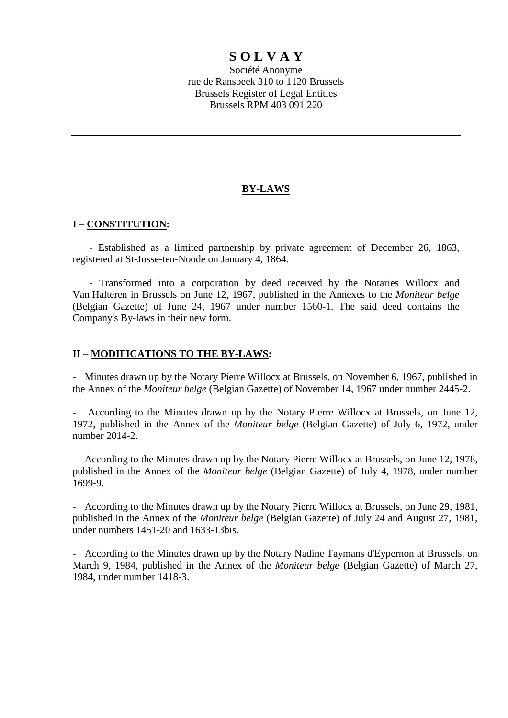# **S O L V A Y**

Société Anonyme rue de Ransbeek 310 to 1120 Brussels Brussels Register of Legal Entities Brussels RPM 403 091 220

# **BY-LAWS**

# **I – CONSTITUTION:**

- Established as a limited partnership by private agreement of December 26, 1863, registered at St-Josse-ten-Noode on January 4, 1864.

- Transformed into a corporation by deed received by the Notaries Willocx and Van Halteren in Brussels on June 12, 1967, published in the Annexes to the *Moniteur belge* (Belgian Gazette) of June 24, 1967 under number 1560-1. The said deed contains the Company's By-laws in their new form.

# **II – MODIFICATIONS TO THE BY-LAWS:**

- Minutes drawn up by the Notary Pierre Willocx at Brussels, on November 6, 1967, published in the Annex of the *Moniteur belge* (Belgian Gazette) of November 14, 1967 under number 2445-2.

- According to the Minutes drawn up by the Notary Pierre Willocx at Brussels, on June 12, 1972, published in the Annex of the *Moniteur belge* (Belgian Gazette) of July 6, 1972, under number 2014-2.

- According to the Minutes drawn up by the Notary Pierre Willocx at Brussels, on June 12, 1978, published in the Annex of the *Moniteur belge* (Belgian Gazette) of July 4, 1978, under number 1699-9.

- According to the Minutes drawn up by the Notary Pierre Willocx at Brussels, on June 29, 1981, published in the Annex of the *Moniteur belge* (Belgian Gazette) of July 24 and August 27, 1981, under numbers 1451-20 and 1633-13bis.

- According to the Minutes drawn up by the Notary Nadine Taymans d'Eypernon at Brussels, on March 9, 1984, published in the Annex of the *Moniteur belge* (Belgian Gazette) of March 27, 1984, under number 1418-3.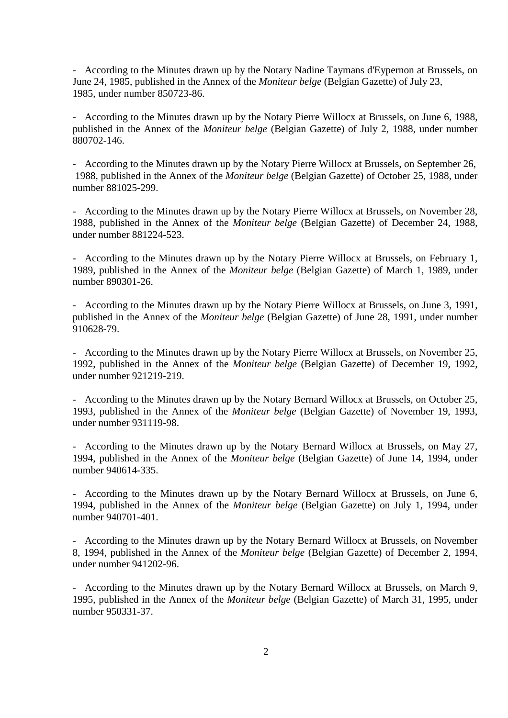- According to the Minutes drawn up by the Notary Nadine Taymans d'Eypernon at Brussels, on June 24, 1985, published in the Annex of the *Moniteur belge* (Belgian Gazette) of July 23, 1985, under number 850723-86.

- According to the Minutes drawn up by the Notary Pierre Willocx at Brussels, on June 6, 1988, published in the Annex of the *Moniteur belge* (Belgian Gazette) of July 2, 1988, under number 880702-146.

- According to the Minutes drawn up by the Notary Pierre Willocx at Brussels, on September 26, 1988, published in the Annex of the *Moniteur belge* (Belgian Gazette) of October 25, 1988, under number 881025-299.

- According to the Minutes drawn up by the Notary Pierre Willocx at Brussels, on November 28, 1988, published in the Annex of the *Moniteur belge* (Belgian Gazette) of December 24, 1988, under number 881224-523.

- According to the Minutes drawn up by the Notary Pierre Willocx at Brussels, on February 1, 1989, published in the Annex of the *Moniteur belge* (Belgian Gazette) of March 1, 1989, under number 890301-26.

- According to the Minutes drawn up by the Notary Pierre Willocx at Brussels, on June 3, 1991, published in the Annex of the *Moniteur belge* (Belgian Gazette) of June 28, 1991, under number 910628-79.

- According to the Minutes drawn up by the Notary Pierre Willocx at Brussels, on November 25, 1992, published in the Annex of the *Moniteur belge* (Belgian Gazette) of December 19, 1992, under number 921219-219.

- According to the Minutes drawn up by the Notary Bernard Willocx at Brussels, on October 25, 1993, published in the Annex of the *Moniteur belge* (Belgian Gazette) of November 19, 1993, under number 931119-98.

- According to the Minutes drawn up by the Notary Bernard Willocx at Brussels, on May 27, 1994, published in the Annex of the *Moniteur belge* (Belgian Gazette) of June 14, 1994, under number 940614-335.

- According to the Minutes drawn up by the Notary Bernard Willocx at Brussels, on June 6, 1994, published in the Annex of the *Moniteur belge* (Belgian Gazette) on July 1, 1994, under number 940701-401.

- According to the Minutes drawn up by the Notary Bernard Willocx at Brussels, on November 8, 1994, published in the Annex of the *Moniteur belge* (Belgian Gazette) of December 2, 1994, under number 941202-96.

- According to the Minutes drawn up by the Notary Bernard Willocx at Brussels, on March 9, 1995, published in the Annex of the *Moniteur belge* (Belgian Gazette) of March 31, 1995, under number 950331-37.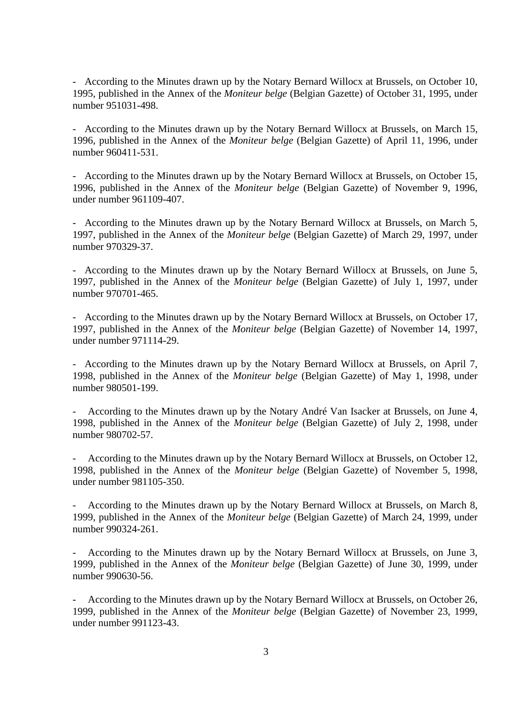- According to the Minutes drawn up by the Notary Bernard Willocx at Brussels, on October 10, 1995, published in the Annex of the *Moniteur belge* (Belgian Gazette) of October 31, 1995, under number 951031-498.

- According to the Minutes drawn up by the Notary Bernard Willocx at Brussels, on March 15, 1996, published in the Annex of the *Moniteur belge* (Belgian Gazette) of April 11, 1996, under number 960411-531.

- According to the Minutes drawn up by the Notary Bernard Willocx at Brussels, on October 15, 1996, published in the Annex of the *Moniteur belge* (Belgian Gazette) of November 9, 1996, under number 961109-407.

- According to the Minutes drawn up by the Notary Bernard Willocx at Brussels, on March 5, 1997, published in the Annex of the *Moniteur belge* (Belgian Gazette) of March 29, 1997, under number 970329-37.

- According to the Minutes drawn up by the Notary Bernard Willocx at Brussels, on June 5, 1997, published in the Annex of the *Moniteur belge* (Belgian Gazette) of July 1, 1997, under number 970701-465.

- According to the Minutes drawn up by the Notary Bernard Willocx at Brussels, on October 17, 1997, published in the Annex of the *Moniteur belge* (Belgian Gazette) of November 14, 1997, under number 971114-29.

- According to the Minutes drawn up by the Notary Bernard Willocx at Brussels, on April 7, 1998, published in the Annex of the *Moniteur belge* (Belgian Gazette) of May 1, 1998, under number 980501-199.

- According to the Minutes drawn up by the Notary André Van Isacker at Brussels, on June 4, 1998, published in the Annex of the *Moniteur belge* (Belgian Gazette) of July 2, 1998, under number 980702-57.

According to the Minutes drawn up by the Notary Bernard Willocx at Brussels, on October 12, 1998, published in the Annex of the *Moniteur belge* (Belgian Gazette) of November 5, 1998, under number 981105-350.

According to the Minutes drawn up by the Notary Bernard Willocx at Brussels, on March 8, 1999, published in the Annex of the *Moniteur belge* (Belgian Gazette) of March 24, 1999, under number 990324-261.

- According to the Minutes drawn up by the Notary Bernard Willocx at Brussels, on June 3, 1999, published in the Annex of the *Moniteur belge* (Belgian Gazette) of June 30, 1999, under number 990630-56.

According to the Minutes drawn up by the Notary Bernard Willocx at Brussels, on October 26, 1999, published in the Annex of the *Moniteur belge* (Belgian Gazette) of November 23, 1999, under number 991123-43.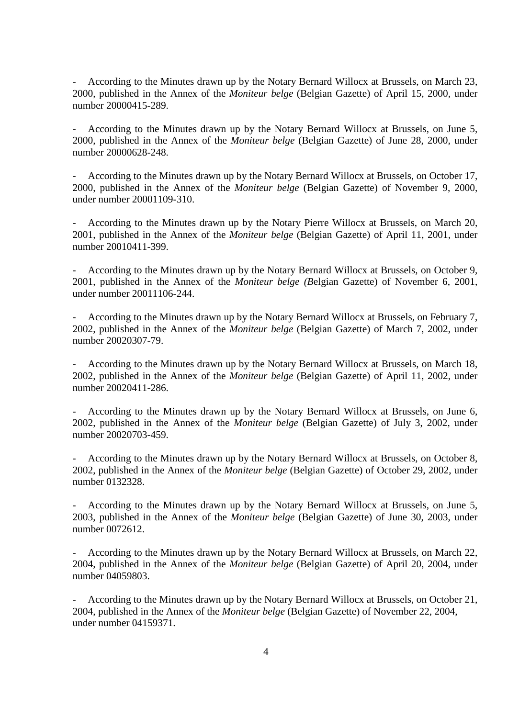- According to the Minutes drawn up by the Notary Bernard Willocx at Brussels, on March 23, 2000, published in the Annex of the *Moniteur belge* (Belgian Gazette) of April 15, 2000, under number 20000415-289.

- According to the Minutes drawn up by the Notary Bernard Willocx at Brussels, on June 5, 2000, published in the Annex of the *Moniteur belge* (Belgian Gazette) of June 28, 2000, under number 20000628-248.

- According to the Minutes drawn up by the Notary Bernard Willocx at Brussels, on October 17, 2000, published in the Annex of the *Moniteur belge* (Belgian Gazette) of November 9, 2000, under number 20001109-310.

- According to the Minutes drawn up by the Notary Pierre Willocx at Brussels, on March 20, 2001, published in the Annex of the *Moniteur belge* (Belgian Gazette) of April 11, 2001, under number 20010411-399.

- According to the Minutes drawn up by the Notary Bernard Willocx at Brussels, on October 9, 2001, published in the Annex of the *Moniteur belge (B*elgian Gazette) of November 6, 2001, under number 20011106-244.

According to the Minutes drawn up by the Notary Bernard Willocx at Brussels, on February 7, 2002, published in the Annex of the *Moniteur belge* (Belgian Gazette) of March 7, 2002, under number 20020307-79.

- According to the Minutes drawn up by the Notary Bernard Willocx at Brussels, on March 18, 2002, published in the Annex of the *Moniteur belge* (Belgian Gazette) of April 11, 2002, under number 20020411-286.

- According to the Minutes drawn up by the Notary Bernard Willocx at Brussels, on June 6, 2002, published in the Annex of the *Moniteur belge* (Belgian Gazette) of July 3, 2002, under number 20020703-459.

According to the Minutes drawn up by the Notary Bernard Willocx at Brussels, on October 8, 2002, published in the Annex of the *Moniteur belge* (Belgian Gazette) of October 29, 2002, under number 0132328.

- According to the Minutes drawn up by the Notary Bernard Willocx at Brussels, on June 5, 2003, published in the Annex of the *Moniteur belge* (Belgian Gazette) of June 30, 2003, under number 0072612.

- According to the Minutes drawn up by the Notary Bernard Willocx at Brussels, on March 22, 2004, published in the Annex of the *Moniteur belge* (Belgian Gazette) of April 20, 2004, under number 04059803.

- According to the Minutes drawn up by the Notary Bernard Willocx at Brussels, on October 21, 2004, published in the Annex of the *Moniteur belge* (Belgian Gazette) of November 22, 2004, under number 04159371.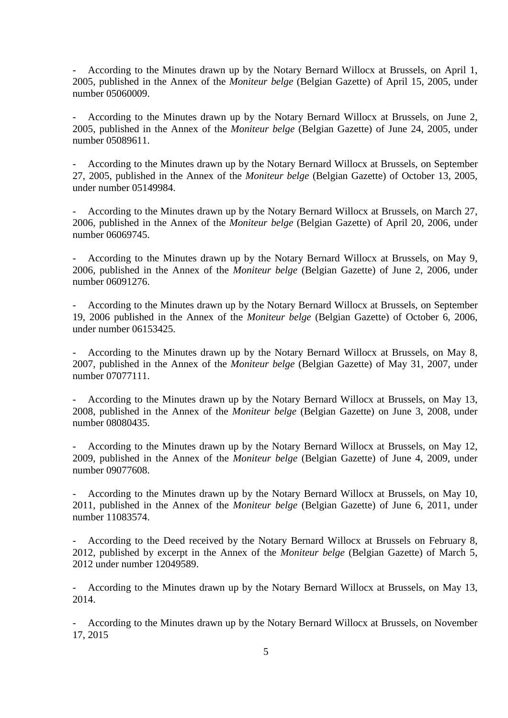- According to the Minutes drawn up by the Notary Bernard Willocx at Brussels, on April 1, 2005, published in the Annex of the *Moniteur belge* (Belgian Gazette) of April 15, 2005, under number 05060009.

- According to the Minutes drawn up by the Notary Bernard Willocx at Brussels, on June 2, 2005, published in the Annex of the *Moniteur belge* (Belgian Gazette) of June 24, 2005, under number 05089611.

- According to the Minutes drawn up by the Notary Bernard Willocx at Brussels, on September 27, 2005, published in the Annex of the *Moniteur belge* (Belgian Gazette) of October 13, 2005, under number 05149984.

- According to the Minutes drawn up by the Notary Bernard Willocx at Brussels, on March 27, 2006, published in the Annex of the *Moniteur belge* (Belgian Gazette) of April 20, 2006, under number 06069745.

According to the Minutes drawn up by the Notary Bernard Willocx at Brussels, on May 9, 2006, published in the Annex of the *Moniteur belge* (Belgian Gazette) of June 2, 2006, under number 06091276.

- According to the Minutes drawn up by the Notary Bernard Willocx at Brussels, on September 19, 2006 published in the Annex of the *Moniteur belge* (Belgian Gazette) of October 6, 2006, under number 06153425.

According to the Minutes drawn up by the Notary Bernard Willocx at Brussels, on May 8, 2007, published in the Annex of the *Moniteur belge* (Belgian Gazette) of May 31, 2007, under number 07077111.

- According to the Minutes drawn up by the Notary Bernard Willocx at Brussels, on May 13, 2008, published in the Annex of the *Moniteur belge* (Belgian Gazette) on June 3, 2008, under number 08080435.

- According to the Minutes drawn up by the Notary Bernard Willocx at Brussels, on May 12, 2009, published in the Annex of the *Moniteur belge* (Belgian Gazette) of June 4, 2009, under number 09077608.

- According to the Minutes drawn up by the Notary Bernard Willocx at Brussels, on May 10, 2011, published in the Annex of the *Moniteur belge* (Belgian Gazette) of June 6, 2011, under number 11083574.

According to the Deed received by the Notary Bernard Willocx at Brussels on February 8, 2012, published by excerpt in the Annex of the *Moniteur belge* (Belgian Gazette) of March 5, 2012 under number 12049589.

- According to the Minutes drawn up by the Notary Bernard Willocx at Brussels, on May 13, 2014.

- According to the Minutes drawn up by the Notary Bernard Willocx at Brussels, on November 17, 2015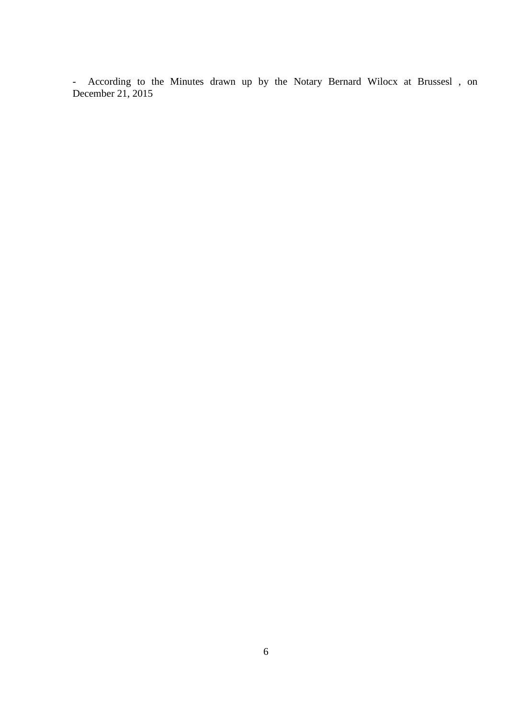- According to the Minutes drawn up by the Notary Bernard Wilocx at Brussesl , on December 21, 2015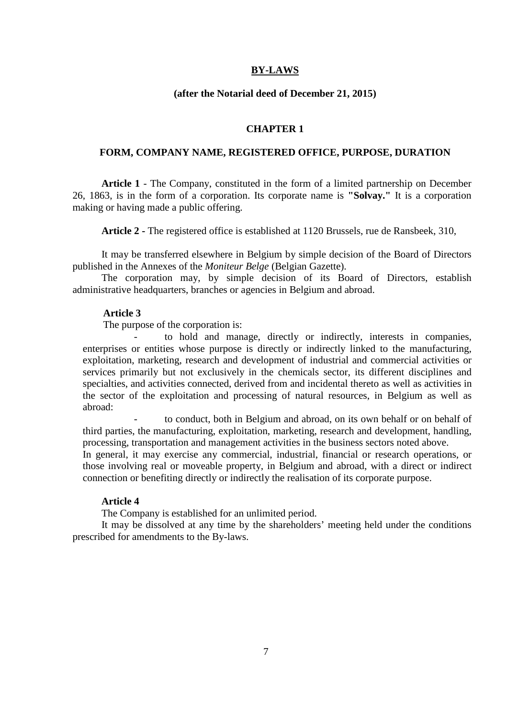# **BY-LAWS**

### **(after the Notarial deed of December 21, 2015)**

### **CHAPTER 1**

### **FORM, COMPANY NAME, REGISTERED OFFICE, PURPOSE, DURATION**

**Article 1** - The Company, constituted in the form of a limited partnership on December 26, 1863, is in the form of a corporation. Its corporate name is **"Solvay."** It is a corporation making or having made a public offering.

**Article 2 -** The registered office is established at 1120 Brussels, rue de Ransbeek, 310,

It may be transferred elsewhere in Belgium by simple decision of the Board of Directors published in the Annexes of the *Moniteur Belge* (Belgian Gazette).

The corporation may, by simple decision of its Board of Directors, establish administrative headquarters, branches or agencies in Belgium and abroad.

### **Article 3**

The purpose of the corporation is:

to hold and manage, directly or indirectly, interests in companies, enterprises or entities whose purpose is directly or indirectly linked to the manufacturing, exploitation, marketing, research and development of industrial and commercial activities or services primarily but not exclusively in the chemicals sector, its different disciplines and specialties, and activities connected, derived from and incidental thereto as well as activities in the sector of the exploitation and processing of natural resources, in Belgium as well as abroad:

to conduct, both in Belgium and abroad, on its own behalf or on behalf of third parties, the manufacturing, exploitation, marketing, research and development, handling, processing, transportation and management activities in the business sectors noted above.

In general, it may exercise any commercial, industrial, financial or research operations, or those involving real or moveable property, in Belgium and abroad, with a direct or indirect connection or benefiting directly or indirectly the realisation of its corporate purpose.

#### **Article 4**

The Company is established for an unlimited period.

It may be dissolved at any time by the shareholders' meeting held under the conditions prescribed for amendments to the By-laws.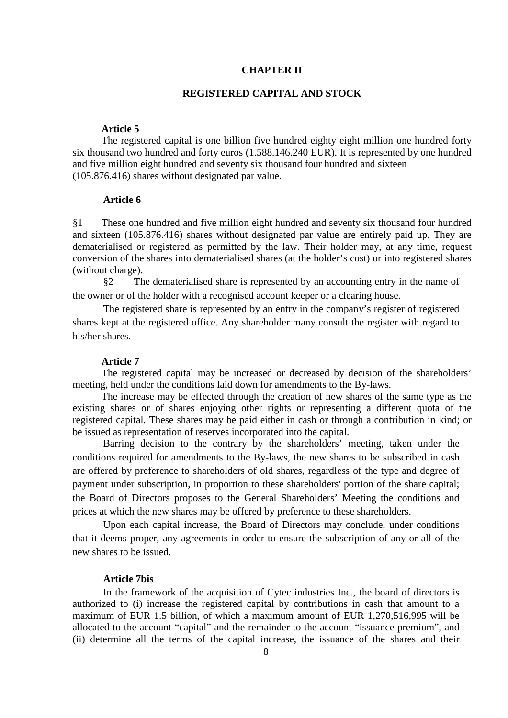# **CHAPTER II**

### **REGISTERED CAPITAL AND STOCK**

# **Article 5**

The registered capital is one billion five hundred eighty eight million one hundred forty six thousand two hundred and forty euros (1.588.146.240 EUR). It is represented by one hundred and five million eight hundred and seventy six thousand four hundred and sixteen (105.876.416) shares without designated par value.

### **Article 6**

§1 These one hundred and five million eight hundred and seventy six thousand four hundred and sixteen (105.876.416) shares without designated par value are entirely paid up. They are dematerialised or registered as permitted by the law. Their holder may, at any time, request conversion of the shares into dematerialised shares (at the holder's cost) or into registered shares (without charge).

§2 The dematerialised share is represented by an accounting entry in the name of the owner or of the holder with a recognised account keeper or a clearing house.

The registered share is represented by an entry in the company's register of registered shares kept at the registered office. Any shareholder many consult the register with regard to his/her shares.

#### **Article 7**

The registered capital may be increased or decreased by decision of the shareholders' meeting, held under the conditions laid down for amendments to the By-laws.

The increase may be effected through the creation of new shares of the same type as the existing shares or of shares enjoying other rights or representing a different quota of the registered capital. These shares may be paid either in cash or through a contribution in kind; or be issued as representation of reserves incorporated into the capital.

Barring decision to the contrary by the shareholders' meeting, taken under the conditions required for amendments to the By-laws, the new shares to be subscribed in cash are offered by preference to shareholders of old shares, regardless of the type and degree of payment under subscription, in proportion to these shareholders' portion of the share capital; the Board of Directors proposes to the General Shareholders' Meeting the conditions and prices at which the new shares may be offered by preference to these shareholders.

Upon each capital increase, the Board of Directors may conclude, under conditions that it deems proper, any agreements in order to ensure the subscription of any or all of the new shares to be issued.

### **Article 7bis**

In the framework of the acquisition of Cytec industries Inc., the board of directors is authorized to (i) increase the registered capital by contributions in cash that amount to a maximum of EUR 1.5 billion, of which a maximum amount of EUR 1,270,516,995 will be allocated to the account "capital" and the remainder to the account "issuance premium", and (ii) determine all the terms of the capital increase, the issuance of the shares and their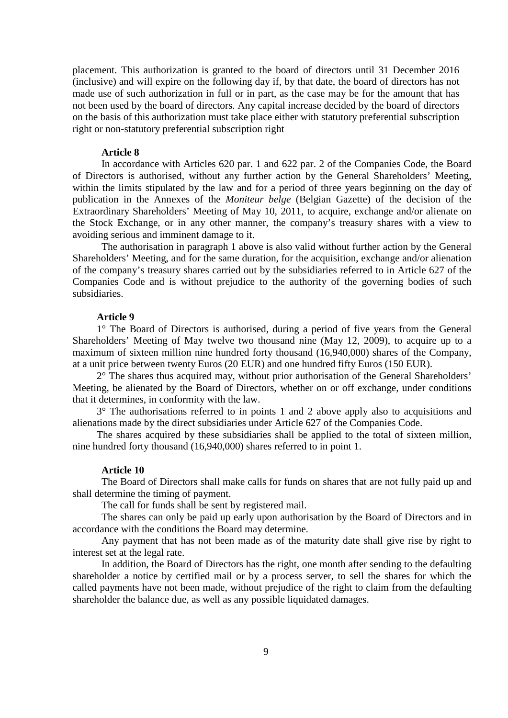placement. This authorization is granted to the board of directors until 31 December 2016 (inclusive) and will expire on the following day if, by that date, the board of directors has not made use of such authorization in full or in part, as the case may be for the amount that has not been used by the board of directors. Any capital increase decided by the board of directors on the basis of this authorization must take place either with statutory preferential subscription right or non-statutory preferential subscription right

#### **Article 8**

In accordance with Articles 620 par. 1 and 622 par. 2 of the Companies Code, the Board of Directors is authorised, without any further action by the General Shareholders' Meeting, within the limits stipulated by the law and for a period of three years beginning on the day of publication in the Annexes of the *Moniteur belge* (Belgian Gazette) of the decision of the Extraordinary Shareholders' Meeting of May 10, 2011, to acquire, exchange and/or alienate on the Stock Exchange, or in any other manner, the company's treasury shares with a view to avoiding serious and imminent damage to it.

The authorisation in paragraph 1 above is also valid without further action by the General Shareholders' Meeting, and for the same duration, for the acquisition, exchange and/or alienation of the company's treasury shares carried out by the subsidiaries referred to in Article 627 of the Companies Code and is without prejudice to the authority of the governing bodies of such subsidiaries.

# **Article 9**

1° The Board of Directors is authorised, during a period of five years from the General Shareholders' Meeting of May twelve two thousand nine (May 12, 2009), to acquire up to a maximum of sixteen million nine hundred forty thousand (16,940,000) shares of the Company, at a unit price between twenty Euros (20 EUR) and one hundred fifty Euros (150 EUR).

2° The shares thus acquired may, without prior authorisation of the General Shareholders' Meeting, be alienated by the Board of Directors, whether on or off exchange, under conditions that it determines, in conformity with the law.

3° The authorisations referred to in points 1 and 2 above apply also to acquisitions and alienations made by the direct subsidiaries under Article 627 of the Companies Code.

The shares acquired by these subsidiaries shall be applied to the total of sixteen million, nine hundred forty thousand (16,940,000) shares referred to in point 1.

#### **Article 10**

The Board of Directors shall make calls for funds on shares that are not fully paid up and shall determine the timing of payment.

The call for funds shall be sent by registered mail.

The shares can only be paid up early upon authorisation by the Board of Directors and in accordance with the conditions the Board may determine.

Any payment that has not been made as of the maturity date shall give rise by right to interest set at the legal rate.

In addition, the Board of Directors has the right, one month after sending to the defaulting shareholder a notice by certified mail or by a process server, to sell the shares for which the called payments have not been made, without prejudice of the right to claim from the defaulting shareholder the balance due, as well as any possible liquidated damages.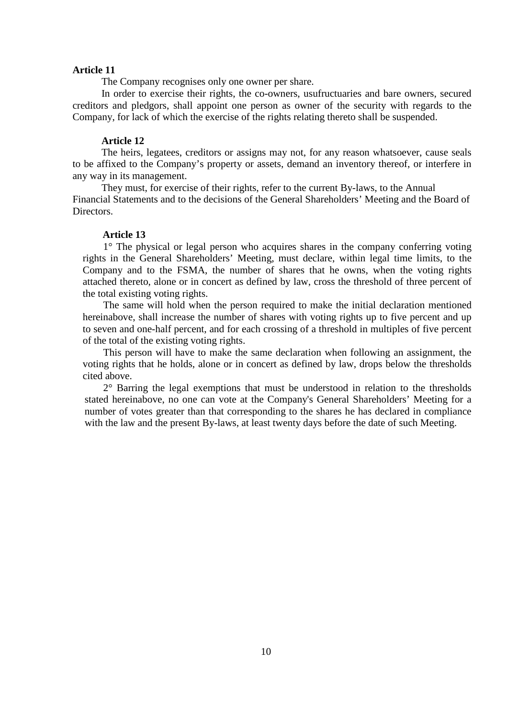The Company recognises only one owner per share.

In order to exercise their rights, the co-owners, usufructuaries and bare owners, secured creditors and pledgors, shall appoint one person as owner of the security with regards to the Company, for lack of which the exercise of the rights relating thereto shall be suspended.

# **Article 12**

The heirs, legatees, creditors or assigns may not, for any reason whatsoever, cause seals to be affixed to the Company's property or assets, demand an inventory thereof, or interfere in any way in its management.

They must, for exercise of their rights, refer to the current By-laws, to the Annual Financial Statements and to the decisions of the General Shareholders' Meeting and the Board of Directors.

### **Article 13**

1° The physical or legal person who acquires shares in the company conferring voting rights in the General Shareholders' Meeting, must declare, within legal time limits, to the Company and to the FSMA, the number of shares that he owns, when the voting rights attached thereto, alone or in concert as defined by law, cross the threshold of three percent of the total existing voting rights.

The same will hold when the person required to make the initial declaration mentioned hereinabove, shall increase the number of shares with voting rights up to five percent and up to seven and one-half percent, and for each crossing of a threshold in multiples of five percent of the total of the existing voting rights.

This person will have to make the same declaration when following an assignment, the voting rights that he holds, alone or in concert as defined by law, drops below the thresholds cited above.

2° Barring the legal exemptions that must be understood in relation to the thresholds stated hereinabove, no one can vote at the Company's General Shareholders' Meeting for a number of votes greater than that corresponding to the shares he has declared in compliance with the law and the present By-laws, at least twenty days before the date of such Meeting.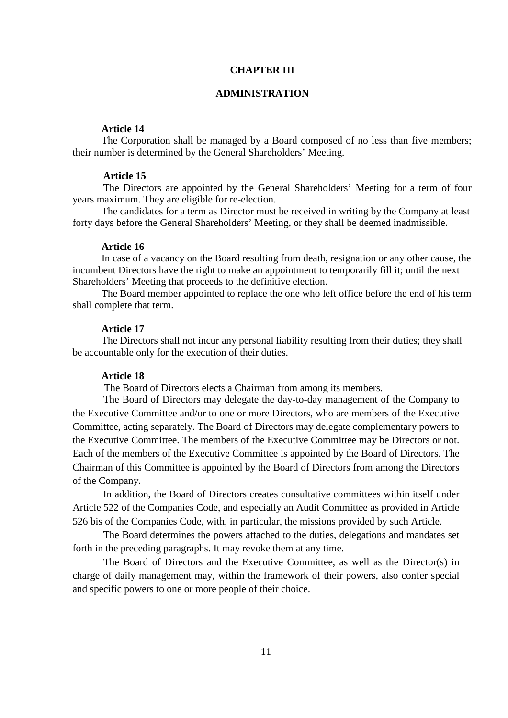# **CHAPTER III**

### **ADMINISTRATION**

# **Article 14**

The Corporation shall be managed by a Board composed of no less than five members; their number is determined by the General Shareholders' Meeting.

# **Article 15**

The Directors are appointed by the General Shareholders' Meeting for a term of four years maximum. They are eligible for re-election.

The candidates for a term as Director must be received in writing by the Company at least forty days before the General Shareholders' Meeting, or they shall be deemed inadmissible.

#### **Article 16**

In case of a vacancy on the Board resulting from death, resignation or any other cause, the incumbent Directors have the right to make an appointment to temporarily fill it; until the next Shareholders' Meeting that proceeds to the definitive election.

The Board member appointed to replace the one who left office before the end of his term shall complete that term.

# **Article 17**

The Directors shall not incur any personal liability resulting from their duties; they shall be accountable only for the execution of their duties.

# **Article 18**

The Board of Directors elects a Chairman from among its members.

The Board of Directors may delegate the day-to-day management of the Company to the Executive Committee and/or to one or more Directors, who are members of the Executive Committee, acting separately. The Board of Directors may delegate complementary powers to the Executive Committee. The members of the Executive Committee may be Directors or not. Each of the members of the Executive Committee is appointed by the Board of Directors. The Chairman of this Committee is appointed by the Board of Directors from among the Directors of the Company.

In addition, the Board of Directors creates consultative committees within itself under Article 522 of the Companies Code, and especially an Audit Committee as provided in Article 526 bis of the Companies Code, with, in particular, the missions provided by such Article.

The Board determines the powers attached to the duties, delegations and mandates set forth in the preceding paragraphs. It may revoke them at any time.

The Board of Directors and the Executive Committee, as well as the Director(s) in charge of daily management may, within the framework of their powers, also confer special and specific powers to one or more people of their choice.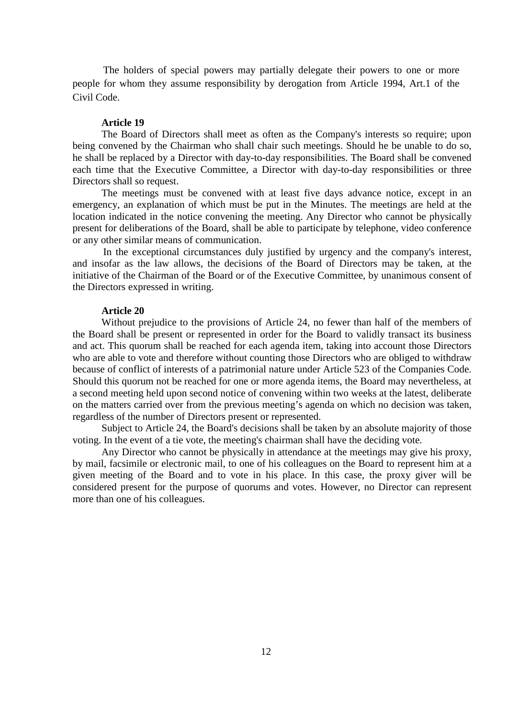The holders of special powers may partially delegate their powers to one or more people for whom they assume responsibility by derogation from Article 1994, Art.1 of the Civil Code.

### **Article 19**

The Board of Directors shall meet as often as the Company's interests so require; upon being convened by the Chairman who shall chair such meetings. Should he be unable to do so, he shall be replaced by a Director with day-to-day responsibilities. The Board shall be convened each time that the Executive Committee, a Director with day-to-day responsibilities or three Directors shall so request.

The meetings must be convened with at least five days advance notice, except in an emergency, an explanation of which must be put in the Minutes. The meetings are held at the location indicated in the notice convening the meeting. Any Director who cannot be physically present for deliberations of the Board, shall be able to participate by telephone, video conference or any other similar means of communication.

In the exceptional circumstances duly justified by urgency and the company's interest, and insofar as the law allows, the decisions of the Board of Directors may be taken, at the initiative of the Chairman of the Board or of the Executive Committee, by unanimous consent of the Directors expressed in writing.

#### **Article 20**

Without prejudice to the provisions of Article 24, no fewer than half of the members of the Board shall be present or represented in order for the Board to validly transact its business and act. This quorum shall be reached for each agenda item, taking into account those Directors who are able to vote and therefore without counting those Directors who are obliged to withdraw because of conflict of interests of a patrimonial nature under Article 523 of the Companies Code. Should this quorum not be reached for one or more agenda items, the Board may nevertheless, at a second meeting held upon second notice of convening within two weeks at the latest, deliberate on the matters carried over from the previous meeting's agenda on which no decision was taken, regardless of the number of Directors present or represented.

Subject to Article 24, the Board's decisions shall be taken by an absolute majority of those voting. In the event of a tie vote, the meeting's chairman shall have the deciding vote.

Any Director who cannot be physically in attendance at the meetings may give his proxy, by mail, facsimile or electronic mail, to one of his colleagues on the Board to represent him at a given meeting of the Board and to vote in his place. In this case, the proxy giver will be considered present for the purpose of quorums and votes. However, no Director can represent more than one of his colleagues.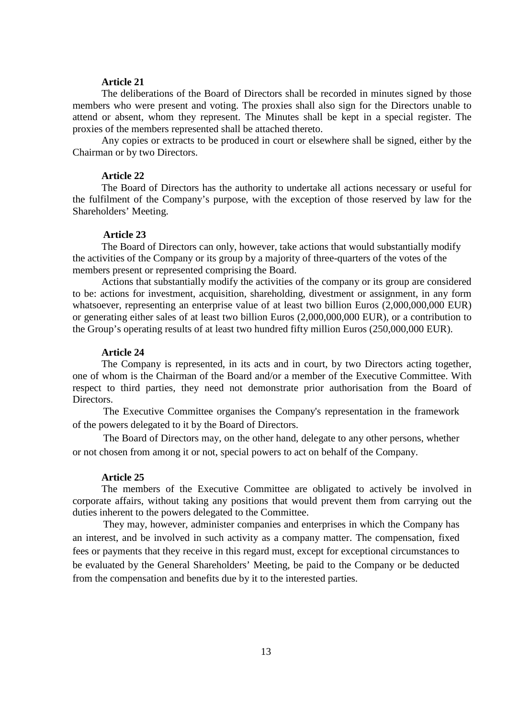The deliberations of the Board of Directors shall be recorded in minutes signed by those members who were present and voting. The proxies shall also sign for the Directors unable to attend or absent, whom they represent. The Minutes shall be kept in a special register. The proxies of the members represented shall be attached thereto.

Any copies or extracts to be produced in court or elsewhere shall be signed, either by the Chairman or by two Directors.

### **Article 22**

The Board of Directors has the authority to undertake all actions necessary or useful for the fulfilment of the Company's purpose, with the exception of those reserved by law for the Shareholders' Meeting.

### **Article 23**

The Board of Directors can only, however, take actions that would substantially modify the activities of the Company or its group by a majority of three-quarters of the votes of the members present or represented comprising the Board.

Actions that substantially modify the activities of the company or its group are considered to be: actions for investment, acquisition, shareholding, divestment or assignment, in any form whatsoever, representing an enterprise value of at least two billion Euros  $(2,000,000,000$  EUR) or generating either sales of at least two billion Euros (2,000,000,000 EUR), or a contribution to the Group's operating results of at least two hundred fifty million Euros (250,000,000 EUR).

# **Article 24**

The Company is represented, in its acts and in court, by two Directors acting together, one of whom is the Chairman of the Board and/or a member of the Executive Committee. With respect to third parties, they need not demonstrate prior authorisation from the Board of Directors.

The Executive Committee organises the Company's representation in the framework of the powers delegated to it by the Board of Directors.

The Board of Directors may, on the other hand, delegate to any other persons, whether or not chosen from among it or not, special powers to act on behalf of the Company.

#### **Article 25**

The members of the Executive Committee are obligated to actively be involved in corporate affairs, without taking any positions that would prevent them from carrying out the duties inherent to the powers delegated to the Committee.

They may, however, administer companies and enterprises in which the Company has an interest, and be involved in such activity as a company matter. The compensation, fixed fees or payments that they receive in this regard must, except for exceptional circumstances to be evaluated by the General Shareholders' Meeting, be paid to the Company or be deducted from the compensation and benefits due by it to the interested parties.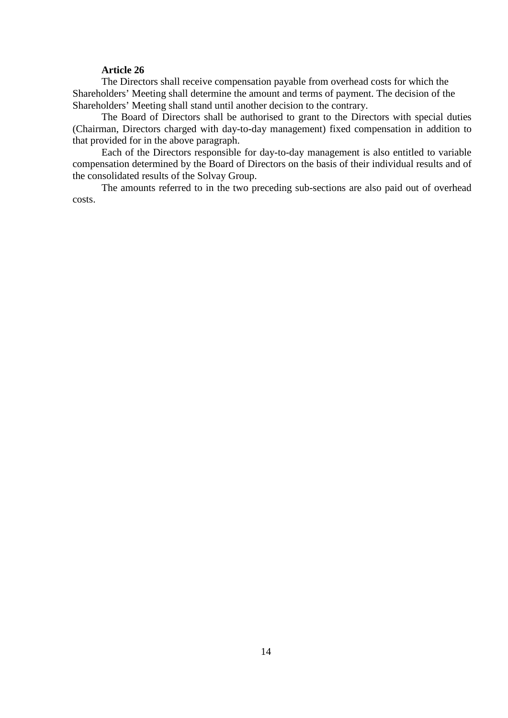The Directors shall receive compensation payable from overhead costs for which the Shareholders' Meeting shall determine the amount and terms of payment. The decision of the Shareholders' Meeting shall stand until another decision to the contrary.

The Board of Directors shall be authorised to grant to the Directors with special duties (Chairman, Directors charged with day-to-day management) fixed compensation in addition to that provided for in the above paragraph.

Each of the Directors responsible for day-to-day management is also entitled to variable compensation determined by the Board of Directors on the basis of their individual results and of the consolidated results of the Solvay Group.

The amounts referred to in the two preceding sub-sections are also paid out of overhead costs.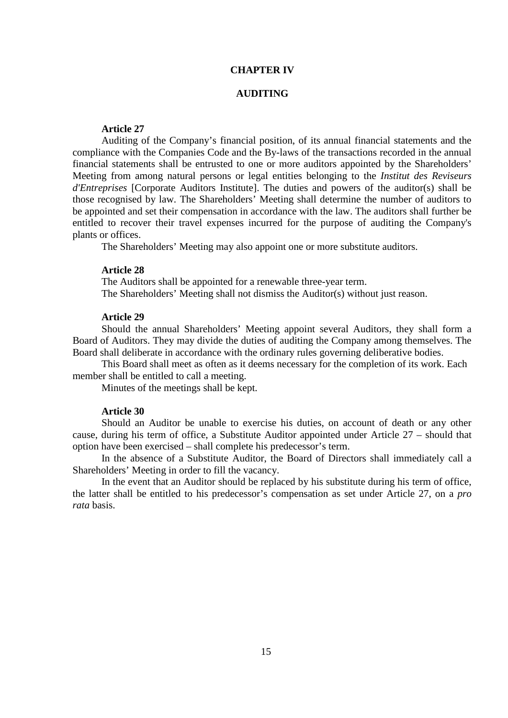# **CHAPTER IV**

### **AUDITING**

# **Article 27**

Auditing of the Company's financial position, of its annual financial statements and the compliance with the Companies Code and the By-laws of the transactions recorded in the annual financial statements shall be entrusted to one or more auditors appointed by the Shareholders' Meeting from among natural persons or legal entities belonging to the *Institut des Reviseurs d'Entreprises* [Corporate Auditors Institute]. The duties and powers of the auditor(s) shall be those recognised by law. The Shareholders' Meeting shall determine the number of auditors to be appointed and set their compensation in accordance with the law. The auditors shall further be entitled to recover their travel expenses incurred for the purpose of auditing the Company's plants or offices.

The Shareholders' Meeting may also appoint one or more substitute auditors.

#### **Article 28**

The Auditors shall be appointed for a renewable three-year term. The Shareholders' Meeting shall not dismiss the Auditor(s) without just reason.

# **Article 29**

Should the annual Shareholders' Meeting appoint several Auditors, they shall form a Board of Auditors. They may divide the duties of auditing the Company among themselves. The Board shall deliberate in accordance with the ordinary rules governing deliberative bodies.

This Board shall meet as often as it deems necessary for the completion of its work. Each member shall be entitled to call a meeting.

Minutes of the meetings shall be kept.

# **Article 30**

Should an Auditor be unable to exercise his duties, on account of death or any other cause, during his term of office, a Substitute Auditor appointed under Article 27 – should that option have been exercised – shall complete his predecessor's term.

In the absence of a Substitute Auditor, the Board of Directors shall immediately call a Shareholders' Meeting in order to fill the vacancy.

In the event that an Auditor should be replaced by his substitute during his term of office, the latter shall be entitled to his predecessor's compensation as set under Article 27, on a *pro rata* basis.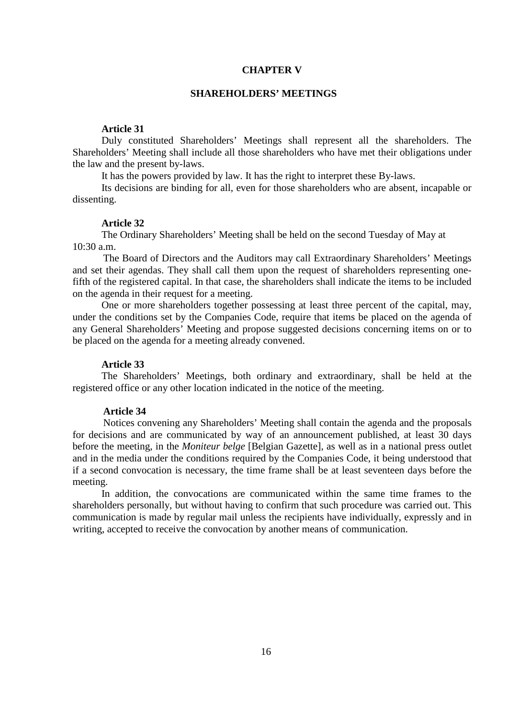# **CHAPTER V**

### **SHAREHOLDERS' MEETINGS**

# **Article 31**

Duly constituted Shareholders' Meetings shall represent all the shareholders. The Shareholders' Meeting shall include all those shareholders who have met their obligations under the law and the present by-laws.

It has the powers provided by law. It has the right to interpret these By-laws.

Its decisions are binding for all, even for those shareholders who are absent, incapable or dissenting.

#### **Article 32**

The Ordinary Shareholders' Meeting shall be held on the second Tuesday of May at 10:30 a.m.

The Board of Directors and the Auditors may call Extraordinary Shareholders' Meetings and set their agendas. They shall call them upon the request of shareholders representing onefifth of the registered capital. In that case, the shareholders shall indicate the items to be included on the agenda in their request for a meeting.

One or more shareholders together possessing at least three percent of the capital, may, under the conditions set by the Companies Code, require that items be placed on the agenda of any General Shareholders' Meeting and propose suggested decisions concerning items on or to be placed on the agenda for a meeting already convened.

### **Article 33**

The Shareholders' Meetings, both ordinary and extraordinary, shall be held at the registered office or any other location indicated in the notice of the meeting.

# **Article 34**

Notices convening any Shareholders' Meeting shall contain the agenda and the proposals for decisions and are communicated by way of an announcement published, at least 30 days before the meeting, in the *Moniteur belge* [Belgian Gazette], as well as in a national press outlet and in the media under the conditions required by the Companies Code, it being understood that if a second convocation is necessary, the time frame shall be at least seventeen days before the meeting.

In addition, the convocations are communicated within the same time frames to the shareholders personally, but without having to confirm that such procedure was carried out. This communication is made by regular mail unless the recipients have individually, expressly and in writing, accepted to receive the convocation by another means of communication.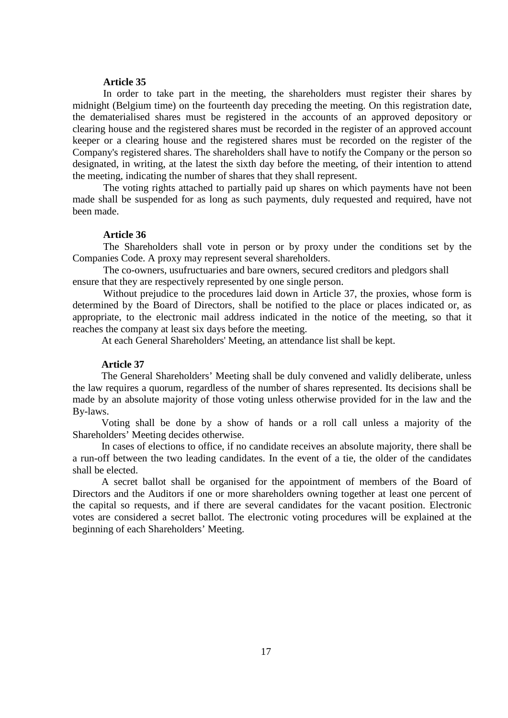In order to take part in the meeting, the shareholders must register their shares by midnight (Belgium time) on the fourteenth day preceding the meeting. On this registration date, the dematerialised shares must be registered in the accounts of an approved depository or clearing house and the registered shares must be recorded in the register of an approved account keeper or a clearing house and the registered shares must be recorded on the register of the Company's registered shares. The shareholders shall have to notify the Company or the person so designated, in writing, at the latest the sixth day before the meeting, of their intention to attend the meeting, indicating the number of shares that they shall represent.

The voting rights attached to partially paid up shares on which payments have not been made shall be suspended for as long as such payments, duly requested and required, have not been made.

#### **Article 36**

The Shareholders shall vote in person or by proxy under the conditions set by the Companies Code. A proxy may represent several shareholders.

The co-owners, usufructuaries and bare owners, secured creditors and pledgors shall ensure that they are respectively represented by one single person.

Without prejudice to the procedures laid down in Article 37, the proxies, whose form is determined by the Board of Directors, shall be notified to the place or places indicated or, as appropriate, to the electronic mail address indicated in the notice of the meeting, so that it reaches the company at least six days before the meeting.

At each General Shareholders' Meeting, an attendance list shall be kept.

### **Article 37**

The General Shareholders' Meeting shall be duly convened and validly deliberate, unless the law requires a quorum, regardless of the number of shares represented. Its decisions shall be made by an absolute majority of those voting unless otherwise provided for in the law and the By-laws.

Voting shall be done by a show of hands or a roll call unless a majority of the Shareholders' Meeting decides otherwise.

In cases of elections to office, if no candidate receives an absolute majority, there shall be a run-off between the two leading candidates. In the event of a tie, the older of the candidates shall be elected.

A secret ballot shall be organised for the appointment of members of the Board of Directors and the Auditors if one or more shareholders owning together at least one percent of the capital so requests, and if there are several candidates for the vacant position. Electronic votes are considered a secret ballot. The electronic voting procedures will be explained at the beginning of each Shareholders' Meeting.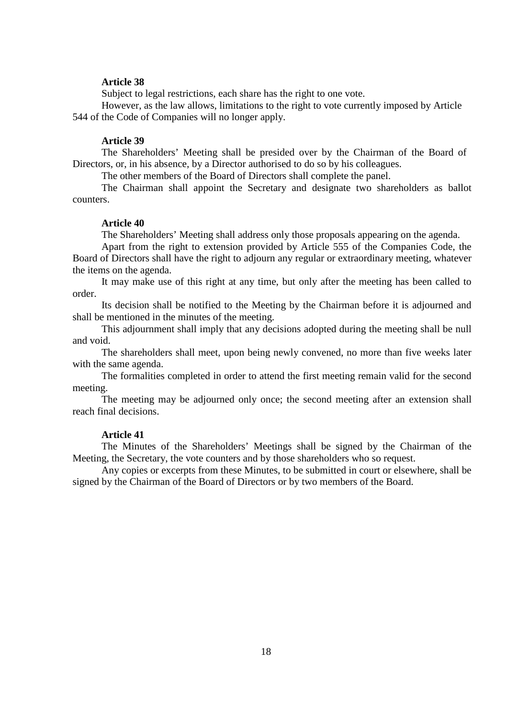Subject to legal restrictions, each share has the right to one vote.

However, as the law allows, limitations to the right to vote currently imposed by Article 544 of the Code of Companies will no longer apply.

#### **Article 39**

The Shareholders' Meeting shall be presided over by the Chairman of the Board of Directors, or, in his absence, by a Director authorised to do so by his colleagues.

The other members of the Board of Directors shall complete the panel.

The Chairman shall appoint the Secretary and designate two shareholders as ballot counters.

#### **Article 40**

The Shareholders' Meeting shall address only those proposals appearing on the agenda.

Apart from the right to extension provided by Article 555 of the Companies Code, the Board of Directors shall have the right to adjourn any regular or extraordinary meeting, whatever the items on the agenda.

It may make use of this right at any time, but only after the meeting has been called to order.

Its decision shall be notified to the Meeting by the Chairman before it is adjourned and shall be mentioned in the minutes of the meeting.

This adjournment shall imply that any decisions adopted during the meeting shall be null and void.

The shareholders shall meet, upon being newly convened, no more than five weeks later with the same agenda.

The formalities completed in order to attend the first meeting remain valid for the second meeting.

The meeting may be adjourned only once; the second meeting after an extension shall reach final decisions.

#### **Article 41**

The Minutes of the Shareholders' Meetings shall be signed by the Chairman of the Meeting, the Secretary, the vote counters and by those shareholders who so request.

Any copies or excerpts from these Minutes, to be submitted in court or elsewhere, shall be signed by the Chairman of the Board of Directors or by two members of the Board.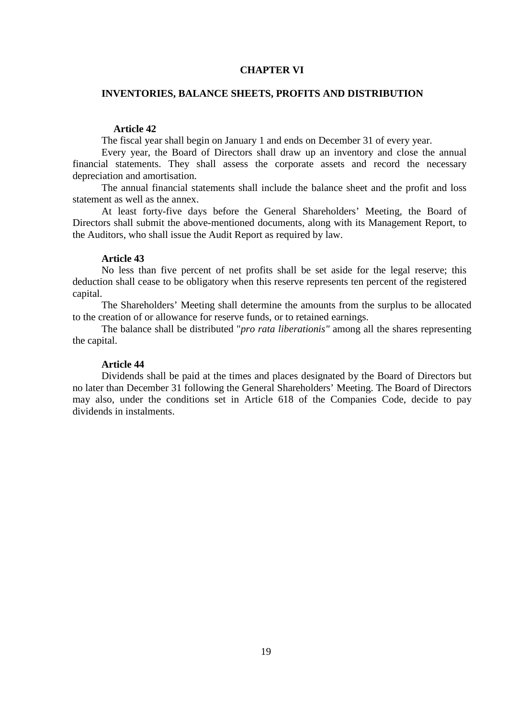# **CHAPTER VI**

### **INVENTORIES, BALANCE SHEETS, PROFITS AND DISTRIBUTION**

# **Article 42**

The fiscal year shall begin on January 1 and ends on December 31 of every year.

Every year, the Board of Directors shall draw up an inventory and close the annual financial statements. They shall assess the corporate assets and record the necessary depreciation and amortisation.

The annual financial statements shall include the balance sheet and the profit and loss statement as well as the annex.

At least forty-five days before the General Shareholders' Meeting, the Board of Directors shall submit the above-mentioned documents, along with its Management Report, to the Auditors, who shall issue the Audit Report as required by law.

# **Article 43**

No less than five percent of net profits shall be set aside for the legal reserve; this deduction shall cease to be obligatory when this reserve represents ten percent of the registered capital.

The Shareholders' Meeting shall determine the amounts from the surplus to be allocated to the creation of or allowance for reserve funds, or to retained earnings.

The balance shall be distributed "*pro rata liberationis"* among all the shares representing the capital.

### **Article 44**

Dividends shall be paid at the times and places designated by the Board of Directors but no later than December 31 following the General Shareholders' Meeting. The Board of Directors may also, under the conditions set in Article 618 of the Companies Code, decide to pay dividends in instalments.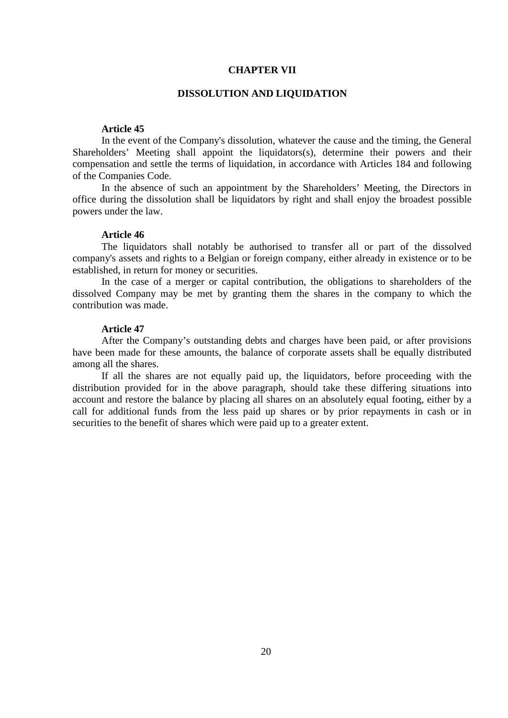# **CHAPTER VII**

#### **DISSOLUTION AND LIQUIDATION**

### **Article 45**

In the event of the Company's dissolution, whatever the cause and the timing, the General Shareholders' Meeting shall appoint the liquidators(s), determine their powers and their compensation and settle the terms of liquidation, in accordance with Articles 184 and following of the Companies Code.

In the absence of such an appointment by the Shareholders' Meeting, the Directors in office during the dissolution shall be liquidators by right and shall enjoy the broadest possible powers under the law.

#### **Article 46**

The liquidators shall notably be authorised to transfer all or part of the dissolved company's assets and rights to a Belgian or foreign company, either already in existence or to be established, in return for money or securities.

In the case of a merger or capital contribution, the obligations to shareholders of the dissolved Company may be met by granting them the shares in the company to which the contribution was made.

### **Article 47**

After the Company's outstanding debts and charges have been paid, or after provisions have been made for these amounts, the balance of corporate assets shall be equally distributed among all the shares.

If all the shares are not equally paid up, the liquidators, before proceeding with the distribution provided for in the above paragraph, should take these differing situations into account and restore the balance by placing all shares on an absolutely equal footing, either by a call for additional funds from the less paid up shares or by prior repayments in cash or in securities to the benefit of shares which were paid up to a greater extent.